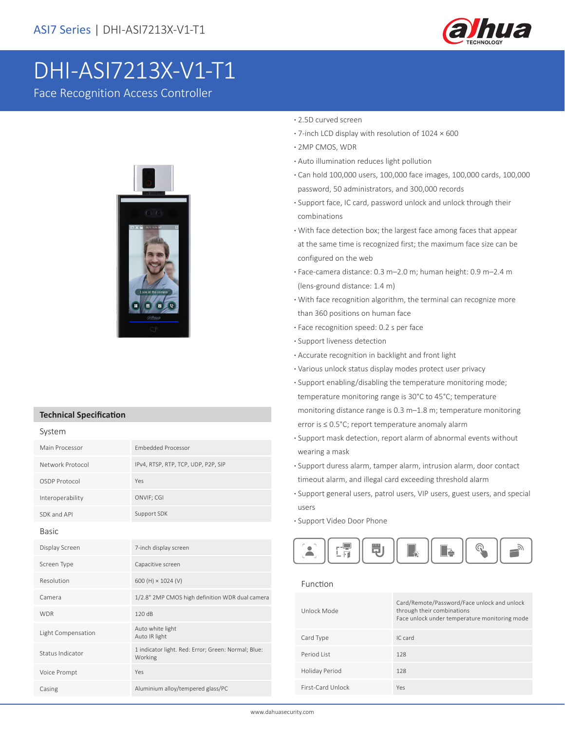

# DHI-ASI7213X-V1-T1

Face Recognition Access Controller



### **Technical Specification**

| Main Processor     | <b>Embedded Processor</b>                                      |
|--------------------|----------------------------------------------------------------|
| Network Protocol   | IPv4, RTSP, RTP, TCP, UDP, P2P, SIP                            |
| OSDP Protocol      | Yes                                                            |
| Interoperability   | ONVIF; CGI                                                     |
| SDK and API        | Support SDK                                                    |
| <b>Basic</b>       |                                                                |
| Display Screen     | 7-inch display screen                                          |
| Screen Type        | Capacitive screen                                              |
| Resolution         | 600 (H) × 1024 (V)                                             |
| Camera             | 1/2.8" 2MP CMOS high definition WDR dual camera                |
| <b>WDR</b>         | 120dB                                                          |
| Light Compensation | Auto white light<br>Auto IR light                              |
| Status Indicator   | 1 indicator light. Red: Error; Green: Normal; Blue:<br>Working |
| Voice Prompt       | Yes                                                            |
| Casing             | Aluminium alloy/tempered glass/PC                              |

### **·** 2.5D curved screen

- **·** 7-inch LCD display with resolution of 1024 × 600
- **·** 2MP CMOS, WDR
- **·** Auto illumination reduces light pollution
- **·** Can hold 100,000 users, 100,000 face images, 100,000 cards, 100,000 password, 50 administrators, and 300,000 records
- **·** Support face, IC card, password unlock and unlock through their combinations
- **·** With face detection box; the largest face among faces that appear at the same time is recognized first; the maximum face size can be configured on the web
- **·** Face-camera distance: 0.3 m–2.0 m; human height: 0.9 m–2.4 m (lens-ground distance: 1.4 m)
- **·** With face recognition algorithm, the terminal can recognize more than 360 positions on human face
- **·** Face recognition speed: 0.2 s per face
- **·** Support liveness detection
- **·** Accurate recognition in backlight and front light
- **·** Various unlock status display modes protect user privacy
- **·** Support enabling/disabling the temperature monitoring mode; temperature monitoring range is 30°C to 45°C; temperature monitoring distance range is 0.3 m–1.8 m; temperature monitoring error is ≤ 0.5°C; report temperature anomaly alarm
- **·** Support mask detection, report alarm of abnormal events without wearing a mask
- **·** Support duress alarm, tamper alarm, intrusion alarm, door contact timeout alarm, and illegal card exceeding threshold alarm
- **·** Support general users, patrol users, VIP users, guest users, and special users
- **·** Support Video Door Phone



#### Function

| Unlock Mode       | Card/Remote/Password/Face unlock and unlock<br>through their combinations<br>Face unlock under temperature monitoring mode |
|-------------------|----------------------------------------------------------------------------------------------------------------------------|
| Card Type         | IC card                                                                                                                    |
| Period List       | 128                                                                                                                        |
| Holiday Period    | 128                                                                                                                        |
| First-Card Unlock | Yes                                                                                                                        |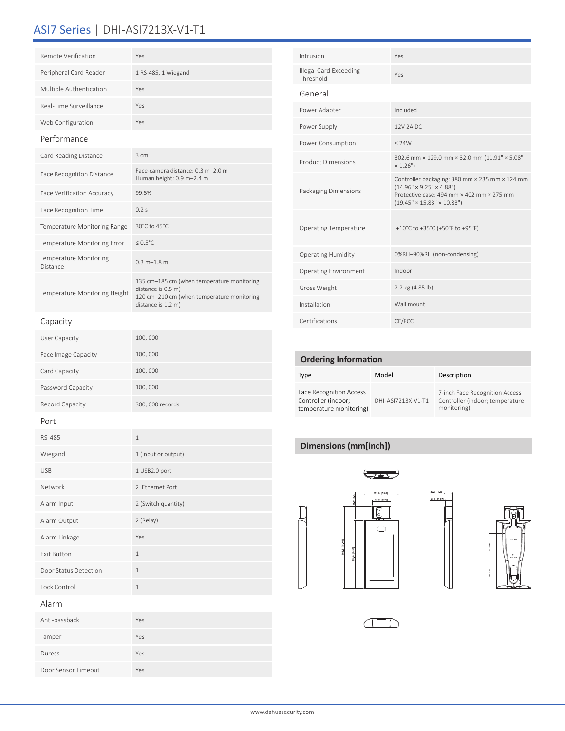## ASI7 Series | DHI-ASI7213X-V1-T1

| Remote Verification                       | Yes                                                                                                                                  |
|-------------------------------------------|--------------------------------------------------------------------------------------------------------------------------------------|
| Peripheral Card Reader                    | 1 RS-485, 1 Wiegand                                                                                                                  |
| Multiple Authentication                   | Yes                                                                                                                                  |
| Real-Time Surveillance                    | Yes                                                                                                                                  |
| Web Configuration                         | Yes                                                                                                                                  |
| Performance                               |                                                                                                                                      |
| Card Reading Distance                     | $3 \text{ cm}$                                                                                                                       |
| <b>Face Recognition Distance</b>          | Face-camera distance: 0.3 m-2.0 m<br>Human height: 0.9 m-2.4 m                                                                       |
| <b>Face Verification Accuracy</b>         | 99.5%                                                                                                                                |
| <b>Face Recognition Time</b>              | 0.2s                                                                                                                                 |
| Temperature Monitoring Range              | 30°C to 45°C                                                                                                                         |
| Temperature Monitoring Error              | $< 0.5^{\circ}$ C                                                                                                                    |
| <b>Temperature Monitoring</b><br>Distance | $0.3 m - 1.8 m$                                                                                                                      |
| Temperature Monitoring Height             | 135 cm-185 cm (when temperature monitoring<br>distance is 0.5 m)<br>120 cm-210 cm (when temperature monitoring<br>distance is 1.2 m) |

| Intrusion                           | Yes                                                                                                                                                                           |
|-------------------------------------|-------------------------------------------------------------------------------------------------------------------------------------------------------------------------------|
| Illegal Card Exceeding<br>Threshold | Yes                                                                                                                                                                           |
| General                             |                                                                                                                                                                               |
| Power Adapter                       | Included                                                                                                                                                                      |
| Power Supply                        | 12V 2A DC                                                                                                                                                                     |
| Power Consumption                   | $<$ 24W                                                                                                                                                                       |
| <b>Product Dimensions</b>           | 302.6 mm × 129.0 mm × 32.0 mm (11.91" × 5.08"<br>× 1.26")                                                                                                                     |
| Packaging Dimensions                | Controller packaging: 380 mm × 235 mm × 124 mm<br>$(14.96" \times 9.25" \times 4.88")$<br>Protective case: 494 mm × 402 mm × 275 mm<br>$(19.45" \times 15.83" \times 10.83")$ |
| <b>Operating Temperature</b>        | +10°C to +35°C (+50°F to +95°F)                                                                                                                                               |
| <b>Operating Humidity</b>           | 0%RH-90%RH (non-condensing)                                                                                                                                                   |
| <b>Operating Environment</b>        | Indoor                                                                                                                                                                        |
| Gross Weight                        | 2.2 kg (4.85 lb)                                                                                                                                                              |
| Installation                        | Wall mount                                                                                                                                                                    |
| Certifications                      | CE/FCC                                                                                                                                                                        |

### **Ordering Information**

| Type                                                                             | Model              | Description                                                                      |
|----------------------------------------------------------------------------------|--------------------|----------------------------------------------------------------------------------|
| <b>Face Recognition Access</b><br>Controller (indoor;<br>temperature monitoring) | DHI-ASI7213X-V1-T1 | 7-inch Face Recognition Access<br>Controller (indoor; temperature<br>monitoring) |

### **Dimensions (mm[inch])**







| Port                  |                     |
|-----------------------|---------------------|
| RS-485                | $\mathbf{1}$        |
| Wiegand               | 1 (input or output) |
| <b>USB</b>            | 1 USB2.0 port       |
| Network               | 2 Fthernet Port     |
| Alarm Input           | 2 (Switch quantity) |
| Alarm Output          | 2 (Relay)           |
| Alarm Linkage         | Yes                 |
| <b>Exit Button</b>    | $\mathbf{1}$        |
| Door Status Detection | $\mathbf{1}$        |
| Lock Control          | $\mathbf{1}$        |
|                       |                     |

### Alarm

Capacity

User Capacity 100, 000 Face Image Capacity 100, 000 Card Capacity 100, 000 Password Capacity 100, 000

Record Capacity 300, 000 records

| Anti-passback       | Yes |
|---------------------|-----|
| Tamper              | Yes |
| Duress              | Yes |
| Door Sensor Timeout | Yes |